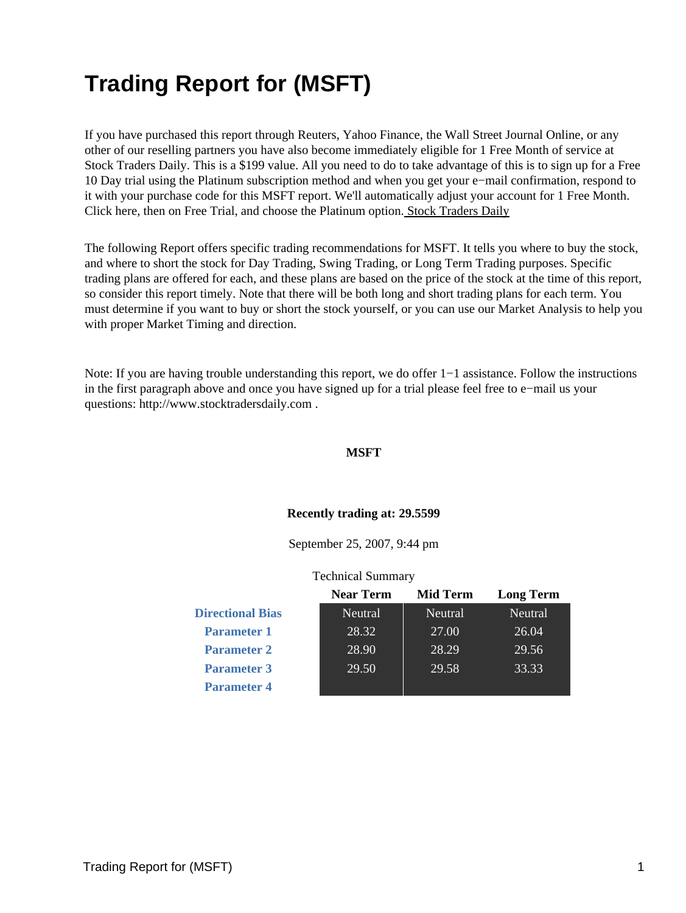# **Trading Report for (MSFT)**

If you have purchased this report through Reuters, Yahoo Finance, the Wall Street Journal Online, or any other of our reselling partners you have also become immediately eligible for 1 Free Month of service at Stock Traders Daily. This is a \$199 value. All you need to do to take advantage of this is to sign up for a Free 10 Day trial using the Platinum subscription method and when you get your e−mail confirmation, respond to it with your purchase code for this MSFT report. We'll automatically adjust your account for 1 Free Month. Click here, then on Free Trial, and choose the Platinum option[. Stock Traders Daily](http://www.stocktradersdaily.com/)

The following Report offers specific trading recommendations for MSFT. It tells you where to buy the stock, and where to short the stock for Day Trading, Swing Trading, or Long Term Trading purposes. Specific trading plans are offered for each, and these plans are based on the price of the stock at the time of this report, so consider this report timely. Note that there will be both long and short trading plans for each term. You must determine if you want to buy or short the stock yourself, or you can use our Market Analysis to help you with proper Market Timing and direction.

Note: If you are having trouble understanding this report, we do offer 1−1 assistance. Follow the instructions in the first paragraph above and once you have signed up for a trial please feel free to e−mail us your questions: http://www.stocktradersdaily.com .

#### **MSFT**

#### **Recently trading at: 29.5599**

September 25, 2007, 9:44 pm

#### Technical Summary

|                         | <b>Near Term</b> | Mid Term | <b>Long Term</b> |
|-------------------------|------------------|----------|------------------|
| <b>Directional Bias</b> | Neutral          | Neutral  | Neutral          |
| <b>Parameter 1</b>      | 28.32            | 27.00    | 26.04            |
| <b>Parameter 2</b>      | 28.90            | 28.29    | 29.56            |
| <b>Parameter 3</b>      | 29.50            | 29.58    | 33.33            |
| <b>Parameter 4</b>      |                  |          |                  |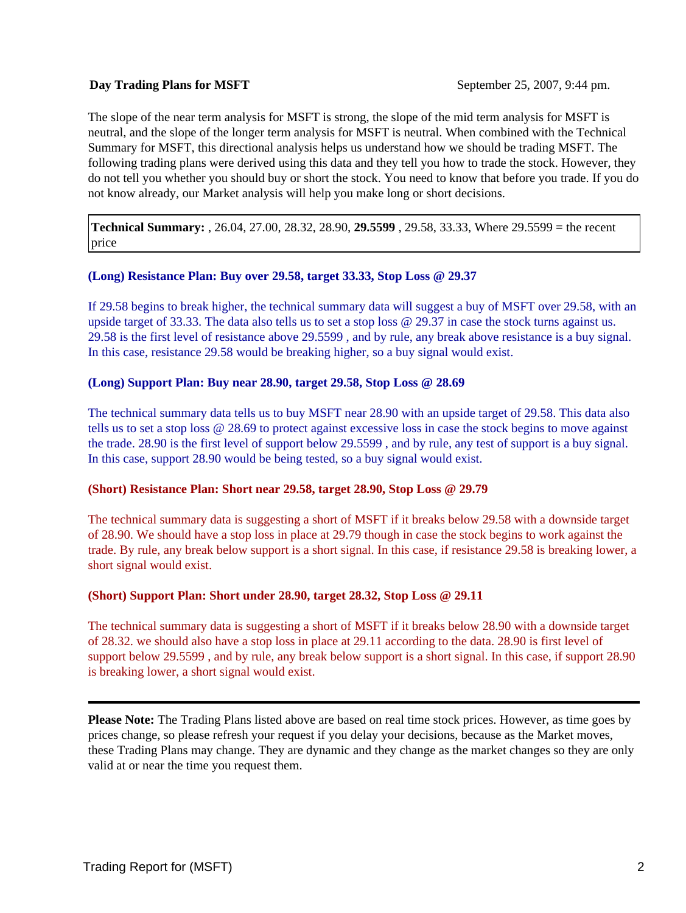#### **Day Trading Plans for MSFT** September 25, 2007, 9:44 pm.

The slope of the near term analysis for MSFT is strong, the slope of the mid term analysis for MSFT is neutral, and the slope of the longer term analysis for MSFT is neutral. When combined with the Technical Summary for MSFT, this directional analysis helps us understand how we should be trading MSFT. The following trading plans were derived using this data and they tell you how to trade the stock. However, they do not tell you whether you should buy or short the stock. You need to know that before you trade. If you do not know already, our Market analysis will help you make long or short decisions.

**Technical Summary:** , 26.04, 27.00, 28.32, 28.90, **29.5599** , 29.58, 33.33, Where 29.5599 = the recent price

# **(Long) Resistance Plan: Buy over 29.58, target 33.33, Stop Loss @ 29.37**

If 29.58 begins to break higher, the technical summary data will suggest a buy of MSFT over 29.58, with an upside target of 33.33. The data also tells us to set a stop loss @ 29.37 in case the stock turns against us. 29.58 is the first level of resistance above 29.5599 , and by rule, any break above resistance is a buy signal. In this case, resistance 29.58 would be breaking higher, so a buy signal would exist.

#### **(Long) Support Plan: Buy near 28.90, target 29.58, Stop Loss @ 28.69**

The technical summary data tells us to buy MSFT near 28.90 with an upside target of 29.58. This data also tells us to set a stop loss @ 28.69 to protect against excessive loss in case the stock begins to move against the trade. 28.90 is the first level of support below 29.5599 , and by rule, any test of support is a buy signal. In this case, support 28.90 would be being tested, so a buy signal would exist.

#### **(Short) Resistance Plan: Short near 29.58, target 28.90, Stop Loss @ 29.79**

The technical summary data is suggesting a short of MSFT if it breaks below 29.58 with a downside target of 28.90. We should have a stop loss in place at 29.79 though in case the stock begins to work against the trade. By rule, any break below support is a short signal. In this case, if resistance 29.58 is breaking lower, a short signal would exist.

# **(Short) Support Plan: Short under 28.90, target 28.32, Stop Loss @ 29.11**

The technical summary data is suggesting a short of MSFT if it breaks below 28.90 with a downside target of 28.32. we should also have a stop loss in place at 29.11 according to the data. 28.90 is first level of support below 29.5599 , and by rule, any break below support is a short signal. In this case, if support 28.90 is breaking lower, a short signal would exist.

**Please Note:** The Trading Plans listed above are based on real time stock prices. However, as time goes by prices change, so please refresh your request if you delay your decisions, because as the Market moves, these Trading Plans may change. They are dynamic and they change as the market changes so they are only valid at or near the time you request them.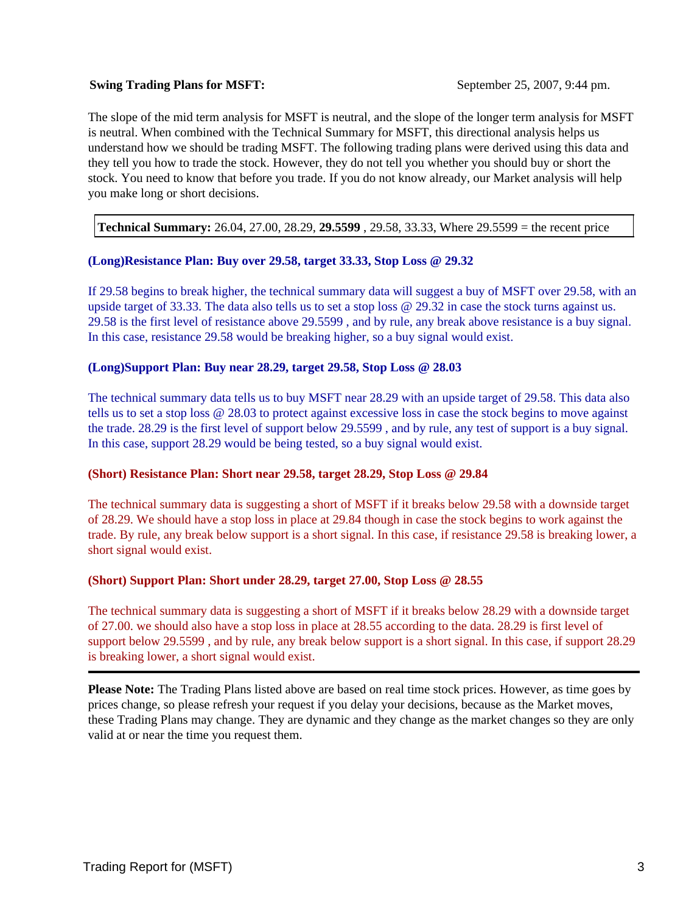#### **Swing Trading Plans for MSFT:** September 25, 2007, 9:44 pm.

The slope of the mid term analysis for MSFT is neutral, and the slope of the longer term analysis for MSFT is neutral. When combined with the Technical Summary for MSFT, this directional analysis helps us understand how we should be trading MSFT. The following trading plans were derived using this data and they tell you how to trade the stock. However, they do not tell you whether you should buy or short the stock. You need to know that before you trade. If you do not know already, our Market analysis will help you make long or short decisions.

**Technical Summary:** 26.04, 27.00, 28.29, **29.5599** , 29.58, 33.33, Where 29.5599 = the recent price

#### **(Long)Resistance Plan: Buy over 29.58, target 33.33, Stop Loss @ 29.32**

If 29.58 begins to break higher, the technical summary data will suggest a buy of MSFT over 29.58, with an upside target of 33.33. The data also tells us to set a stop loss @ 29.32 in case the stock turns against us. 29.58 is the first level of resistance above 29.5599 , and by rule, any break above resistance is a buy signal. In this case, resistance 29.58 would be breaking higher, so a buy signal would exist.

#### **(Long)Support Plan: Buy near 28.29, target 29.58, Stop Loss @ 28.03**

The technical summary data tells us to buy MSFT near 28.29 with an upside target of 29.58. This data also tells us to set a stop loss @ 28.03 to protect against excessive loss in case the stock begins to move against the trade. 28.29 is the first level of support below 29.5599 , and by rule, any test of support is a buy signal. In this case, support 28.29 would be being tested, so a buy signal would exist.

#### **(Short) Resistance Plan: Short near 29.58, target 28.29, Stop Loss @ 29.84**

The technical summary data is suggesting a short of MSFT if it breaks below 29.58 with a downside target of 28.29. We should have a stop loss in place at 29.84 though in case the stock begins to work against the trade. By rule, any break below support is a short signal. In this case, if resistance 29.58 is breaking lower, a short signal would exist.

# **(Short) Support Plan: Short under 28.29, target 27.00, Stop Loss @ 28.55**

The technical summary data is suggesting a short of MSFT if it breaks below 28.29 with a downside target of 27.00. we should also have a stop loss in place at 28.55 according to the data. 28.29 is first level of support below 29.5599 , and by rule, any break below support is a short signal. In this case, if support 28.29 is breaking lower, a short signal would exist.

**Please Note:** The Trading Plans listed above are based on real time stock prices. However, as time goes by prices change, so please refresh your request if you delay your decisions, because as the Market moves, these Trading Plans may change. They are dynamic and they change as the market changes so they are only valid at or near the time you request them.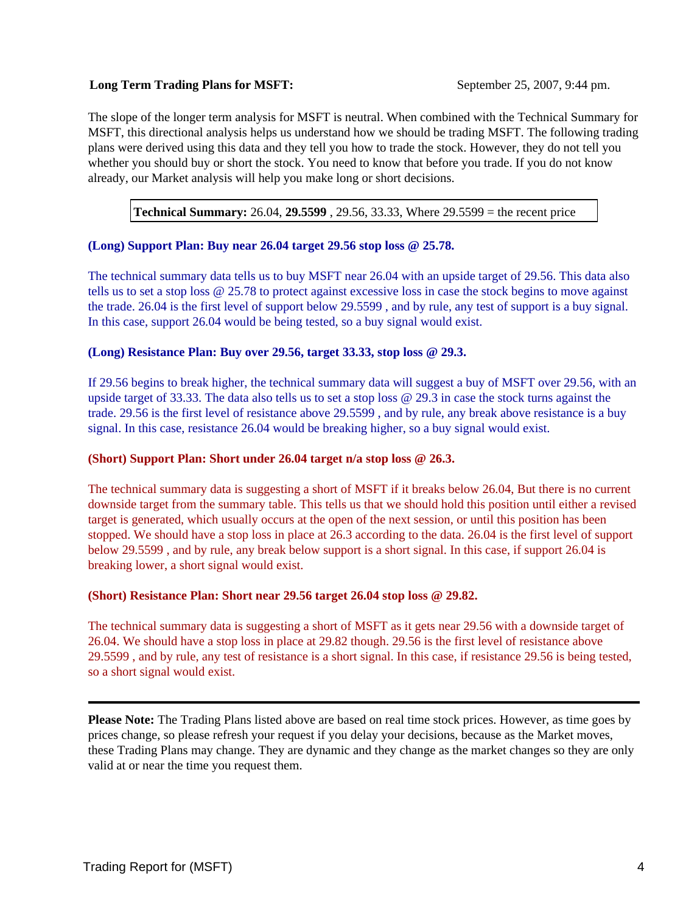#### **Long Term Trading Plans for MSFT:** September 25, 2007, 9:44 pm.

The slope of the longer term analysis for MSFT is neutral. When combined with the Technical Summary for MSFT, this directional analysis helps us understand how we should be trading MSFT. The following trading plans were derived using this data and they tell you how to trade the stock. However, they do not tell you whether you should buy or short the stock. You need to know that before you trade. If you do not know already, our Market analysis will help you make long or short decisions.

**Technical Summary:** 26.04, **29.5599** , 29.56, 33.33, Where 29.5599 = the recent price

#### **(Long) Support Plan: Buy near 26.04 target 29.56 stop loss @ 25.78.**

The technical summary data tells us to buy MSFT near 26.04 with an upside target of 29.56. This data also tells us to set a stop loss @ 25.78 to protect against excessive loss in case the stock begins to move against the trade. 26.04 is the first level of support below 29.5599 , and by rule, any test of support is a buy signal. In this case, support 26.04 would be being tested, so a buy signal would exist.

#### **(Long) Resistance Plan: Buy over 29.56, target 33.33, stop loss @ 29.3.**

If 29.56 begins to break higher, the technical summary data will suggest a buy of MSFT over 29.56, with an upside target of 33.33. The data also tells us to set a stop loss @ 29.3 in case the stock turns against the trade. 29.56 is the first level of resistance above 29.5599 , and by rule, any break above resistance is a buy signal. In this case, resistance 26.04 would be breaking higher, so a buy signal would exist.

#### **(Short) Support Plan: Short under 26.04 target n/a stop loss @ 26.3.**

The technical summary data is suggesting a short of MSFT if it breaks below 26.04, But there is no current downside target from the summary table. This tells us that we should hold this position until either a revised target is generated, which usually occurs at the open of the next session, or until this position has been stopped. We should have a stop loss in place at 26.3 according to the data. 26.04 is the first level of support below 29.5599 , and by rule, any break below support is a short signal. In this case, if support 26.04 is breaking lower, a short signal would exist.

#### **(Short) Resistance Plan: Short near 29.56 target 26.04 stop loss @ 29.82.**

The technical summary data is suggesting a short of MSFT as it gets near 29.56 with a downside target of 26.04. We should have a stop loss in place at 29.82 though. 29.56 is the first level of resistance above 29.5599 , and by rule, any test of resistance is a short signal. In this case, if resistance 29.56 is being tested, so a short signal would exist.

**Please Note:** The Trading Plans listed above are based on real time stock prices. However, as time goes by prices change, so please refresh your request if you delay your decisions, because as the Market moves, these Trading Plans may change. They are dynamic and they change as the market changes so they are only valid at or near the time you request them.